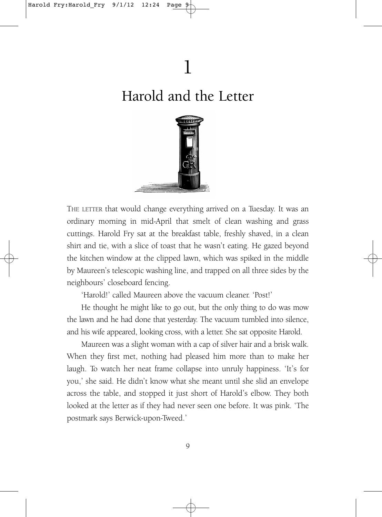1

## Harold and the Letter



THE LETTER that would change everything arrived on a Tuesday. It was an ordinary morning in mid-April that smelt of clean washing and grass cuttings. Harold Fry sat at the breakfast table, freshly shaved, in a clean shirt and tie, with a slice of toast that he wasn't eating. He gazed beyond the kitchen window at the clipped lawn, which was spiked in the middle by Maureen's telescopic washing line, and trapped on all three sides by the neighbours' closeboard fencing.

'Harold!' called Maureen above the vacuum cleaner. 'Post!'

He thought he might like to go out, but the only thing to do was mow the lawn and he had done that yesterday. The vacuum tumbled into silence, and his wife appeared, looking cross, with a letter. She sat opposite Harold.

Maureen was a slight woman with a cap of silver hair and a brisk walk. When they first met, nothing had pleased him more than to make her laugh. To watch her neat frame collapse into unruly happiness. 'It's for you,' she said. He didn't know what she meant until she slid an envelope across the table, and stopped it just short of Harold's elbow. They both looked at the letter as if they had never seen one before. It was pink. 'The postmark says Berwick-upon-Tweed.'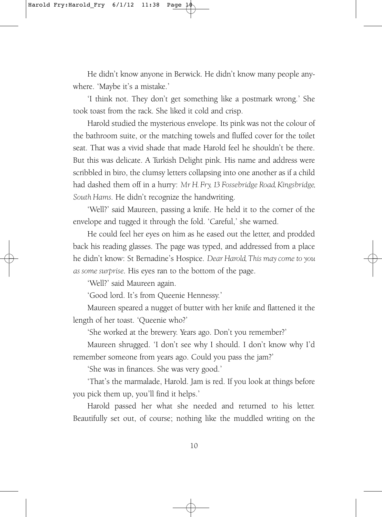He didn't know anyone in Berwick. He didn't know many people anywhere. 'Maybe it's a mistake.'

'I think not. They don't get something like a postmark wrong.' She took toast from the rack. She liked it cold and crisp.

Harold studied the mysterious envelope. Its pink was not the colour of the bathroom suite, or the matching towels and fluffed cover for the toilet seat. That was a vivid shade that made Harold feel he shouldn't be there. But this was delicate. A Turkish Delight pink. His name and address were scribbled in biro, the clumsy letters collapsing into one another as if a child had dashed them off in a hurry: *Mr H. Fry, 13 Fossebridge Road, Kingsbridge, South Hams*. He didn't recognize the handwriting.

'Well?' said Maureen, passing a knife. He held it to the corner of the envelope and tugged it through the fold. 'Careful,' she warned.

He could feel her eyes on him as he eased out the letter, and prodded back his reading glasses. The page was typed, and addressed from a place he didn't know: St Bernadine's Hospice. *Dear Harold, This may come to you as some surprise*. His eyes ran to the bottom of the page.

'Well?' said Maureen again.

'Good lord. It's from Queenie Hennessy.'

Maureen speared a nugget of butter with her knife and flattened it the length of her toast. 'Queenie who?'

'She worked at the brewery. Years ago. Don't you remember?'

Maureen shrugged. 'I don't see why I should. I don't know why I'd remember someone from years ago. Could you pass the jam?'

'She was in finances. She was very good.'

'That's the marmalade, Harold. Jam is red. If you look at things before you pick them up, you'll find it helps.'

Harold passed her what she needed and returned to his letter. Beautifully set out, of course; nothing like the muddled writing on the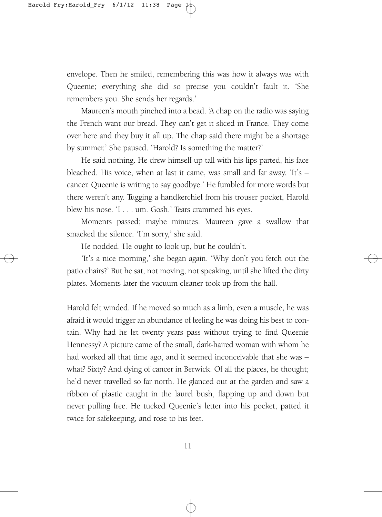envelope. Then he smiled, remembering this was how it always was with Queenie; everything she did so precise you couldn't fault it. 'She remembers you. She sends her regards.'

Maureen's mouth pinched into a bead. 'A chap on the radio was saying the French want our bread. They can't get it sliced in France. They come over here and they buy it all up. The chap said there might be a shortage by summer.' She paused. 'Harold? Is something the matter?'

He said nothing. He drew himself up tall with his lips parted, his face bleached. His voice, when at last it came, was small and far away. 'It's – cancer. Queenie is writing to say goodbye.' He fumbled for more words but there weren't any. Tugging a handkerchief from his trouser pocket, Harold blew his nose. 'I . . . um. Gosh.' Tears crammed his eyes.

Moments passed; maybe minutes. Maureen gave a swallow that smacked the silence. 'I'm sorry,' she said.

He nodded. He ought to look up, but he couldn't.

'It's a nice morning,' she began again. 'Why don't you fetch out the patio chairs?' But he sat, not moving, not speaking, until she lifted the dirty plates. Moments later the vacuum cleaner took up from the hall.

Harold felt winded. If he moved so much as a limb, even a muscle, he was afraid it would trigger an abundance of feeling he was doing his best to contain. Why had he let twenty years pass without trying to find Queenie Hennessy? A picture came of the small, dark-haired woman with whom he had worked all that time ago, and it seemed inconceivable that she was – what? Sixty? And dying of cancer in Berwick. Of all the places, he thought; he'd never travelled so far north. He glanced out at the garden and saw a ribbon of plastic caught in the laurel bush, flapping up and down but never pulling free. He tucked Queenie's letter into his pocket, patted it twice for safekeeping, and rose to his feet.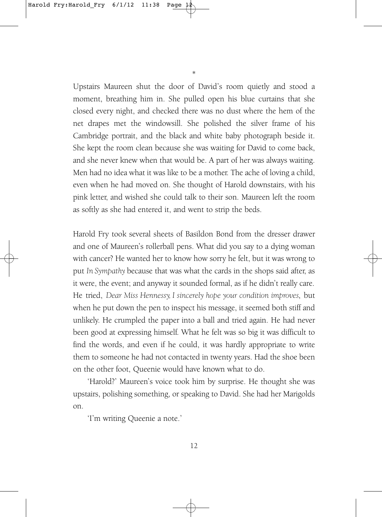Upstairs Maureen shut the door of David's room quietly and stood a moment, breathing him in. She pulled open his blue curtains that she closed every night, and checked there was no dust where the hem of the net drapes met the windowsill. She polished the silver frame of his Cambridge portrait, and the black and white baby photograph beside it. She kept the room clean because she was waiting for David to come back, and she never knew when that would be. A part of her was always waiting. Men had no idea what it was like to be a mother. The ache of loving a child, even when he had moved on. She thought of Harold downstairs, with his pink letter, and wished she could talk to their son. Maureen left the room as softly as she had entered it, and went to strip the beds.

\*

Harold Fry took several sheets of Basildon Bond from the dresser drawer and one of Maureen's rollerball pens. What did you say to a dying woman with cancer? He wanted her to know how sorry he felt, but it was wrong to put *In Sympathy* because that was what the cards in the shops said after, as it were, the event; and anyway it sounded formal, as if he didn't really care. He tried, *Dear Miss Hennessy, I sincerely hope your condition improves*, but when he put down the pen to inspect his message, it seemed both stiff and unlikely. He crumpled the paper into a ball and tried again. He had never been good at expressing himself. What he felt was so big it was difficult to find the words, and even if he could, it was hardly appropriate to write them to someone he had not contacted in twenty years. Had the shoe been on the other foot, Queenie would have known what to do.

'Harold?' Maureen's voice took him by surprise. He thought she was upstairs, polishing something, or speaking to David. She had her Marigolds on.

'I'm writing Queenie a note.'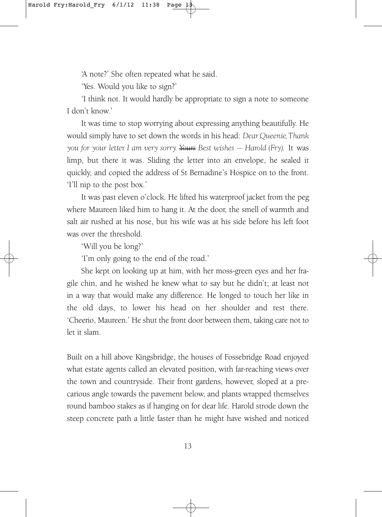'A note?' She often repeated what he said.

'Yes. Would you like to sign?'

'I think not. It would hardly be appropriate to sign a note to someone I don't know.'

It was time to stop worrying about expressing anything beautifully. He would simply have to set down the words in his head: *Dear Queenie, Thank you for your letter. I am very sorry. Yours Best wishes – Harold (Fry)*. It was limp, but there it was. Sliding the letter into an envelope, he sealed it quickly, and copied the address of St Bernadine's Hospice on to the front. 'I'll nip to the post box.'

It was past eleven o'clock. He lifted his waterproof jacket from the peg where Maureen liked him to hang it. At the door, the smell of warmth and salt air rushed at his nose, but his wife was at his side before his left foot was over the threshold.

'Will you be long?'

'I'm only going to the end of the road.'

She kept on looking up at him, with her moss-green eyes and her fragile chin, and he wished he knew what to say but he didn't; at least not in a way that would make any difference. He longed to touch her like in the old days, to lower his head on her shoulder and rest there. 'Cheerio, Maureen.' He shut the front door between them, taking care not to let it slam.

Built on a hill above Kingsbridge, the houses of Fossebridge Road enjoyed what estate agents called an elevated position, with far-reaching views over the town and countryside. Their front gardens, however, sloped at a precarious angle towards the pavement below, and plants wrapped themselves round bamboo stakes as if hanging on for dear life. Harold strode down the steep concrete path a little faster than he might have wished and noticed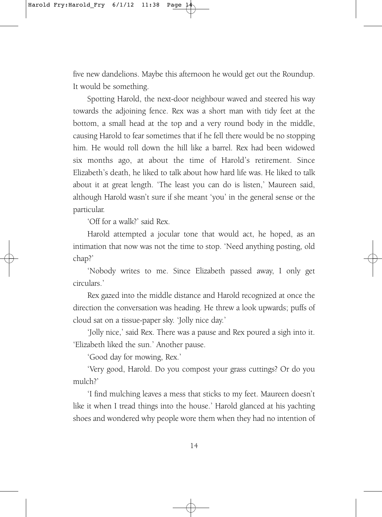five new dandelions. Maybe this afternoon he would get out the Roundup. It would be something.

Spotting Harold, the next-door neighbour waved and steered his way towards the adjoining fence. Rex was a short man with tidy feet at the bottom, a small head at the top and a very round body in the middle, causing Harold to fear sometimes that if he fell there would be no stopping him. He would roll down the hill like a barrel. Rex had been widowed six months ago, at about the time of Harold's retirement. Since Elizabeth's death, he liked to talk about how hard life was. He liked to talk about it at great length. 'The least you can do is listen,' Maureen said, although Harold wasn't sure if she meant 'you' in the general sense or the particular.

'Off for a walk?' said Rex.

Harold attempted a jocular tone that would act, he hoped, as an intimation that now was not the time to stop. 'Need anything posting, old chap?'

'Nobody writes to me. Since Elizabeth passed away, I only get circulars.'

Rex gazed into the middle distance and Harold recognized at once the direction the conversation was heading. He threw a look upwards; puffs of cloud sat on a tissue-paper sky. 'Jolly nice day.'

'Jolly nice,' said Rex. There was a pause and Rex poured a sigh into it. 'Elizabeth liked the sun.' Another pause.

'Good day for mowing, Rex.'

'Very good, Harold. Do you compost your grass cuttings? Or do you mulch?'

'I find mulching leaves a mess that sticks to my feet. Maureen doesn't like it when I tread things into the house.' Harold glanced at his yachting shoes and wondered why people wore them when they had no intention of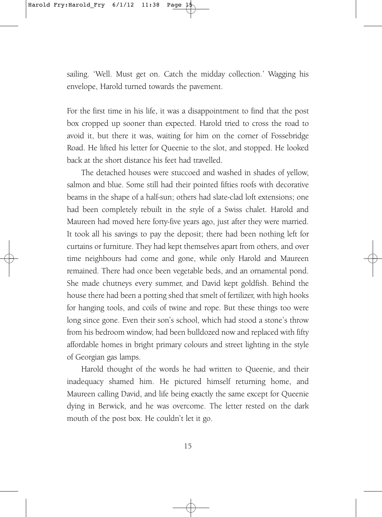sailing. 'Well. Must get on. Catch the midday collection.' Wagging his envelope, Harold turned towards the pavement.

For the first time in his life, it was a disappointment to find that the post box cropped up sooner than expected. Harold tried to cross the road to avoid it, but there it was, waiting for him on the corner of Fossebridge Road. He lifted his letter for Queenie to the slot, and stopped. He looked back at the short distance his feet had travelled.

The detached houses were stuccoed and washed in shades of yellow, salmon and blue. Some still had their pointed fifties roofs with decorative beams in the shape of a half-sun; others had slate-clad loft extensions; one had been completely rebuilt in the style of a Swiss chalet. Harold and Maureen had moved here forty-five years ago, just after they were married. It took all his savings to pay the deposit; there had been nothing left for curtains or furniture. They had kept themselves apart from others, and over time neighbours had come and gone, while only Harold and Maureen remained. There had once been vegetable beds, and an ornamental pond. She made chutneys every summer, and David kept goldfish. Behind the house there had been a potting shed that smelt of fertilizer, with high hooks for hanging tools, and coils of twine and rope. But these things too were long since gone. Even their son's school, which had stood a stone's throw from his bedroom window, had been bulldozed now and replaced with fifty affordable homes in bright primary colours and street lighting in the style of Georgian gas lamps.

Harold thought of the words he had written to Queenie, and their inadequacy shamed him. He pictured himself returning home, and Maureen calling David, and life being exactly the same except for Queenie dying in Berwick, and he was overcome. The letter rested on the dark mouth of the post box. He couldn't let it go.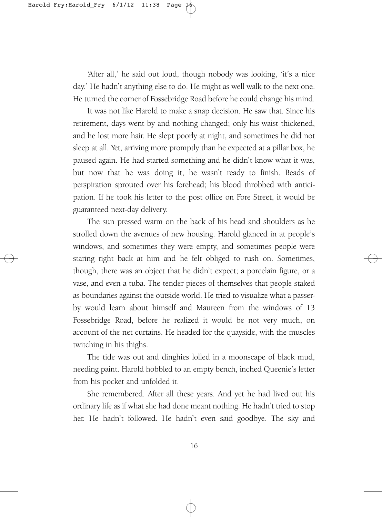'After all,' he said out loud, though nobody was looking, 'it's a nice day.' He hadn't anything else to do. He might as well walk to the next one. He turned the corner of Fossebridge Road before he could change his mind.

It was not like Harold to make a snap decision. He saw that. Since his retirement, days went by and nothing changed; only his waist thickened, and he lost more hair. He slept poorly at night, and sometimes he did not sleep at all. Yet, arriving more promptly than he expected at a pillar box, he paused again. He had started something and he didn't know what it was, but now that he was doing it, he wasn't ready to finish. Beads of perspiration sprouted over his forehead; his blood throbbed with anticipation. If he took his letter to the post office on Fore Street, it would be guaranteed next-day delivery.

The sun pressed warm on the back of his head and shoulders as he strolled down the avenues of new housing. Harold glanced in at people's windows, and sometimes they were empty, and sometimes people were staring right back at him and he felt obliged to rush on. Sometimes, though, there was an object that he didn't expect; a porcelain figure, or a vase, and even a tuba. The tender pieces of themselves that people staked as boundaries against the outside world. He tried to visualize what a passerby would learn about himself and Maureen from the windows of 13 Fossebridge Road, before he realized it would be not very much, on account of the net curtains. He headed for the quayside, with the muscles twitching in his thighs.

The tide was out and dinghies lolled in a moonscape of black mud, needing paint. Harold hobbled to an empty bench, inched Queenie's letter from his pocket and unfolded it.

She remembered. After all these years. And yet he had lived out his ordinary life as if what she had done meant nothing. He hadn't tried to stop her. He hadn't followed. He hadn't even said goodbye. The sky and